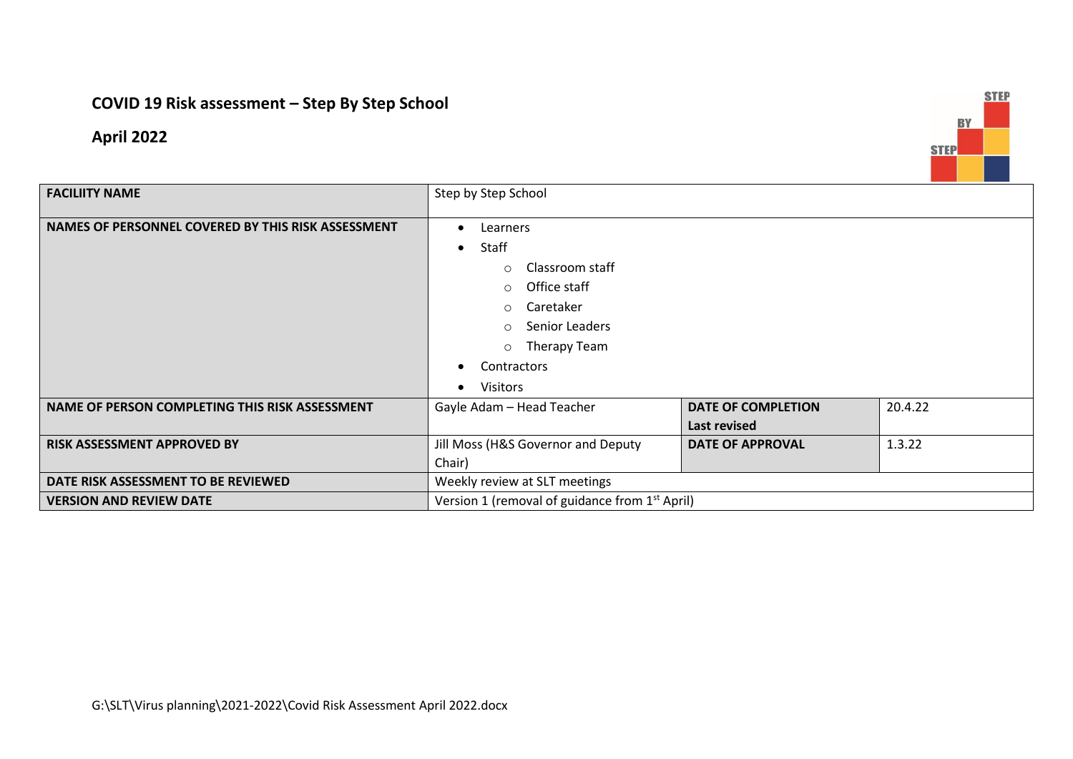## **COVID 19 Risk assessment – Step By Step School**

**April 2022**



| <b>FACILIITY NAME</b>                              | Step by Step School                                        |                           |         |
|----------------------------------------------------|------------------------------------------------------------|---------------------------|---------|
|                                                    |                                                            |                           |         |
| NAMES OF PERSONNEL COVERED BY THIS RISK ASSESSMENT | Learners                                                   |                           |         |
|                                                    | Staff<br>$\bullet$                                         |                           |         |
|                                                    | Classroom staff<br>$\circ$                                 |                           |         |
|                                                    | Office staff<br>$\circ$                                    |                           |         |
|                                                    | Caretaker<br>$\circ$                                       |                           |         |
|                                                    | Senior Leaders<br>$\circ$                                  |                           |         |
|                                                    | Therapy Team<br>$\circ$                                    |                           |         |
|                                                    | Contractors                                                |                           |         |
|                                                    | <b>Visitors</b>                                            |                           |         |
| NAME OF PERSON COMPLETING THIS RISK ASSESSMENT     | Gayle Adam - Head Teacher                                  | <b>DATE OF COMPLETION</b> | 20.4.22 |
|                                                    |                                                            | Last revised              |         |
| <b>RISK ASSESSMENT APPROVED BY</b>                 | Jill Moss (H&S Governor and Deputy                         | <b>DATE OF APPROVAL</b>   | 1.3.22  |
|                                                    | Chair)                                                     |                           |         |
| DATE RISK ASSESSMENT TO BE REVIEWED                | Weekly review at SLT meetings                              |                           |         |
| <b>VERSION AND REVIEW DATE</b>                     | Version 1 (removal of guidance from 1 <sup>st</sup> April) |                           |         |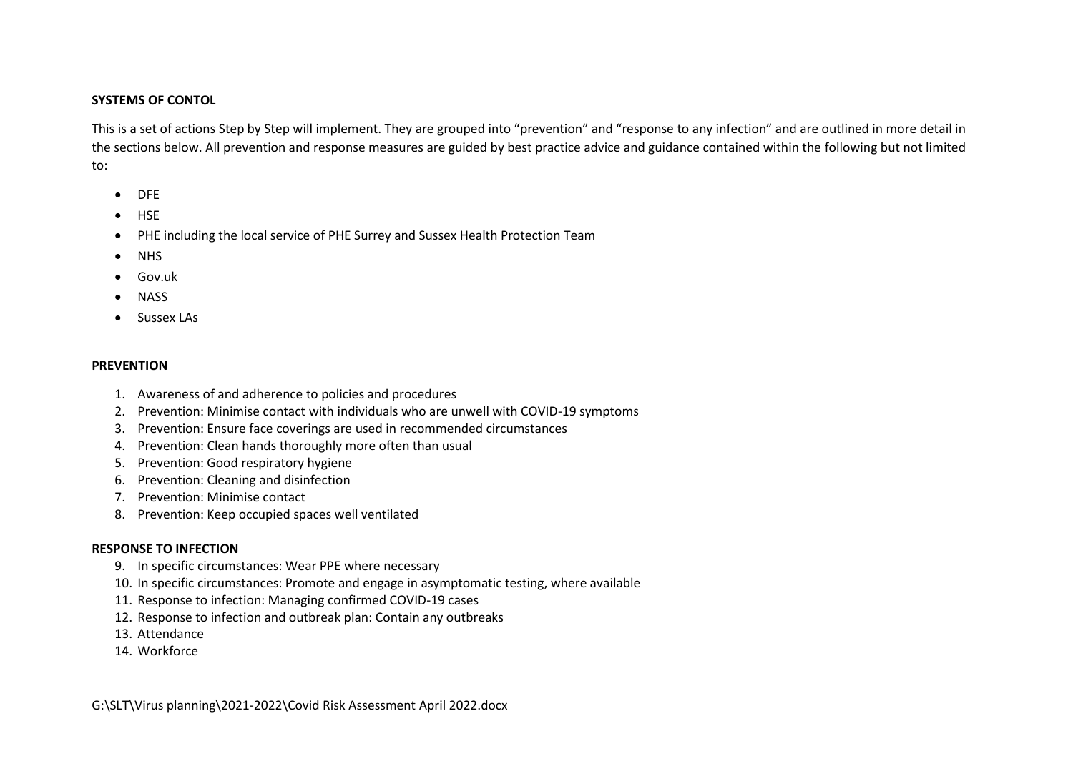## **SYSTEMS OF CONTOL**

This is a set of actions Step by Step will implement. They are grouped into "prevention" and "response to any infection" and are outlined in more detail in the sections below. All prevention and response measures are guided by best practice advice and guidance contained within the following but not limited to:

- DFE
- $-HSE$
- PHE including the local service of PHE Surrey and Sussex Health Protection Team
- NHS
- Gov.uk
- NASS
- Sussex LAs

## **PREVENTION**

- 1. Awareness of and adherence to policies and procedures
- 2. Prevention: Minimise contact with individuals who are unwell with COVID-19 symptoms
- 3. Prevention: Ensure face coverings are used in recommended circumstances
- 4. Prevention: Clean hands thoroughly more often than usual
- 5. Prevention: Good respiratory hygiene
- 6. Prevention: Cleaning and disinfection
- 7. Prevention: Minimise contact
- 8. [Prevention: Keep occupied spaces well ventilated](#page-5-0)

## **RESPONSE TO INFECTION**

- 9. In specific circumstances: Wear PPE where necessary
- 10. [In specific circumstances: Promote and engage in asymptomatic testing, where available](#page-6-0)
- 11. Response to infection: Managing confirmed COVID-19 cases
- 12. Response to infection and outbreak plan: Contain any outbreaks
- 13. Attendance
- 14. Workforce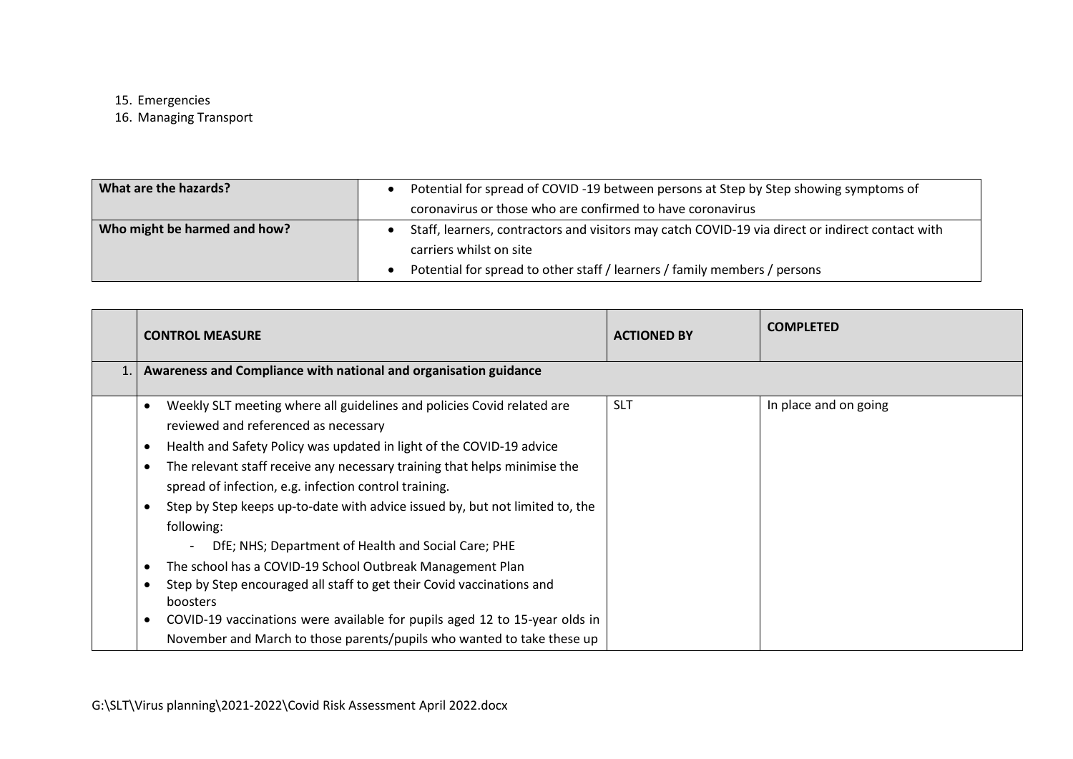15. Emergencies

16. [Managing Transport](#page-7-0)

| What are the hazards?        |                                                            | Potential for spread of COVID-19 between persons at Step by Step showing symptoms of             |
|------------------------------|------------------------------------------------------------|--------------------------------------------------------------------------------------------------|
|                              | coronavirus or those who are confirmed to have coronavirus |                                                                                                  |
| Who might be harmed and how? |                                                            | Staff, learners, contractors and visitors may catch COVID-19 via direct or indirect contact with |
|                              |                                                            | carriers whilst on site                                                                          |
|                              |                                                            | Potential for spread to other staff / learners / family members / persons                        |

| <b>CONTROL MEASURE</b>                                                                                                                                         | <b>ACTIONED BY</b> | <b>COMPLETED</b>      |
|----------------------------------------------------------------------------------------------------------------------------------------------------------------|--------------------|-----------------------|
| Awareness and Compliance with national and organisation guidance                                                                                               |                    |                       |
| Weekly SLT meeting where all guidelines and policies Covid related are<br>$\bullet$<br>reviewed and referenced as necessary                                    | <b>SLT</b>         | In place and on going |
| Health and Safety Policy was updated in light of the COVID-19 advice<br>$\bullet$                                                                              |                    |                       |
| The relevant staff receive any necessary training that helps minimise the<br>$\bullet$<br>spread of infection, e.g. infection control training.                |                    |                       |
| Step by Step keeps up-to-date with advice issued by, but not limited to, the<br>$\bullet$<br>following:<br>DfE; NHS; Department of Health and Social Care; PHE |                    |                       |
| The school has a COVID-19 School Outbreak Management Plan<br>$\bullet$                                                                                         |                    |                       |
| Step by Step encouraged all staff to get their Covid vaccinations and<br>$\bullet$<br>boosters                                                                 |                    |                       |
| COVID-19 vaccinations were available for pupils aged 12 to 15-year olds in<br>$\bullet$                                                                        |                    |                       |
| November and March to those parents/pupils who wanted to take these up                                                                                         |                    |                       |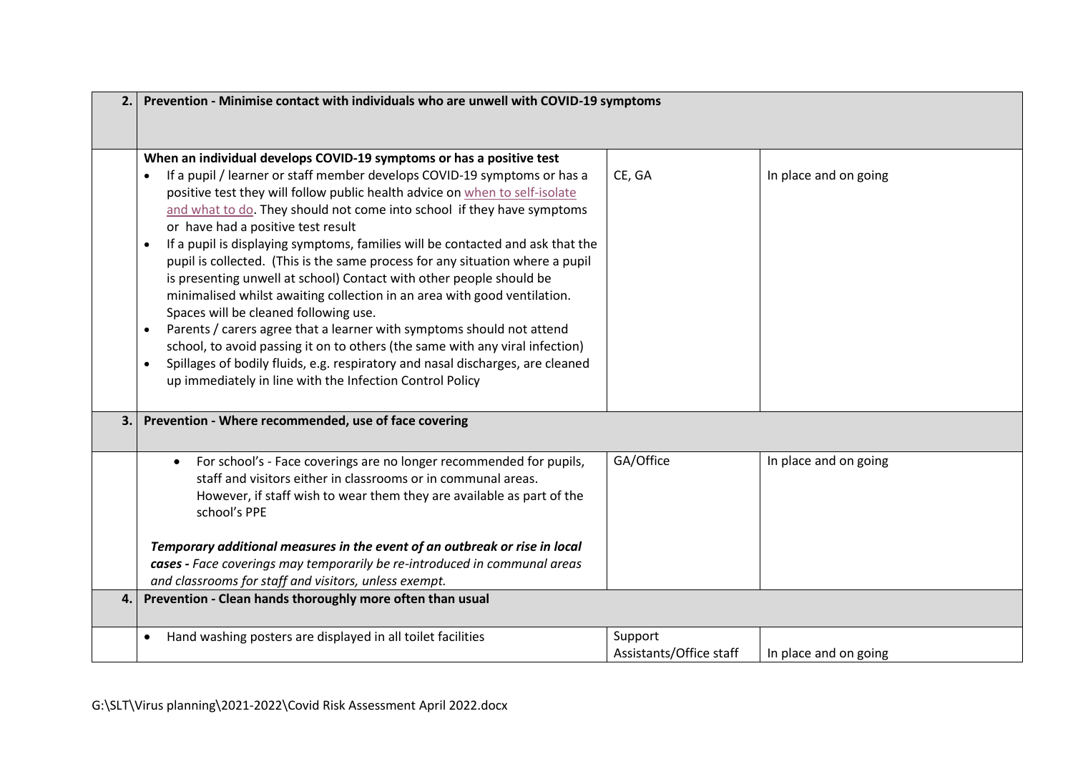| 2. | Prevention - Minimise contact with individuals who are unwell with COVID-19 symptoms                                                                                                                                                                                                                                                                                                                                                                                                                                                                                                                                                                                                                                                                                                                                                                                                                                                                                                                                                            |                                    |                       |  |  |  |
|----|-------------------------------------------------------------------------------------------------------------------------------------------------------------------------------------------------------------------------------------------------------------------------------------------------------------------------------------------------------------------------------------------------------------------------------------------------------------------------------------------------------------------------------------------------------------------------------------------------------------------------------------------------------------------------------------------------------------------------------------------------------------------------------------------------------------------------------------------------------------------------------------------------------------------------------------------------------------------------------------------------------------------------------------------------|------------------------------------|-----------------------|--|--|--|
|    | When an individual develops COVID-19 symptoms or has a positive test<br>If a pupil / learner or staff member develops COVID-19 symptoms or has a<br>positive test they will follow public health advice on when to self-isolate<br>and what to do. They should not come into school if they have symptoms<br>or have had a positive test result<br>If a pupil is displaying symptoms, families will be contacted and ask that the<br>pupil is collected. (This is the same process for any situation where a pupil<br>is presenting unwell at school) Contact with other people should be<br>minimalised whilst awaiting collection in an area with good ventilation.<br>Spaces will be cleaned following use.<br>Parents / carers agree that a learner with symptoms should not attend<br>$\bullet$<br>school, to avoid passing it on to others (the same with any viral infection)<br>Spillages of bodily fluids, e.g. respiratory and nasal discharges, are cleaned<br>$\bullet$<br>up immediately in line with the Infection Control Policy | CE, GA                             | In place and on going |  |  |  |
|    | 3. Prevention - Where recommended, use of face covering                                                                                                                                                                                                                                                                                                                                                                                                                                                                                                                                                                                                                                                                                                                                                                                                                                                                                                                                                                                         |                                    |                       |  |  |  |
|    | For school's - Face coverings are no longer recommended for pupils,<br>staff and visitors either in classrooms or in communal areas.<br>However, if staff wish to wear them they are available as part of the<br>school's PPE<br>Temporary additional measures in the event of an outbreak or rise in local<br>cases - Face coverings may temporarily be re-introduced in communal areas                                                                                                                                                                                                                                                                                                                                                                                                                                                                                                                                                                                                                                                        | GA/Office                          | In place and on going |  |  |  |
| 4. | and classrooms for staff and visitors, unless exempt.<br>Prevention - Clean hands thoroughly more often than usual                                                                                                                                                                                                                                                                                                                                                                                                                                                                                                                                                                                                                                                                                                                                                                                                                                                                                                                              |                                    |                       |  |  |  |
|    |                                                                                                                                                                                                                                                                                                                                                                                                                                                                                                                                                                                                                                                                                                                                                                                                                                                                                                                                                                                                                                                 |                                    |                       |  |  |  |
|    | Hand washing posters are displayed in all toilet facilities<br>$\bullet$                                                                                                                                                                                                                                                                                                                                                                                                                                                                                                                                                                                                                                                                                                                                                                                                                                                                                                                                                                        | Support<br>Assistants/Office staff | In place and on going |  |  |  |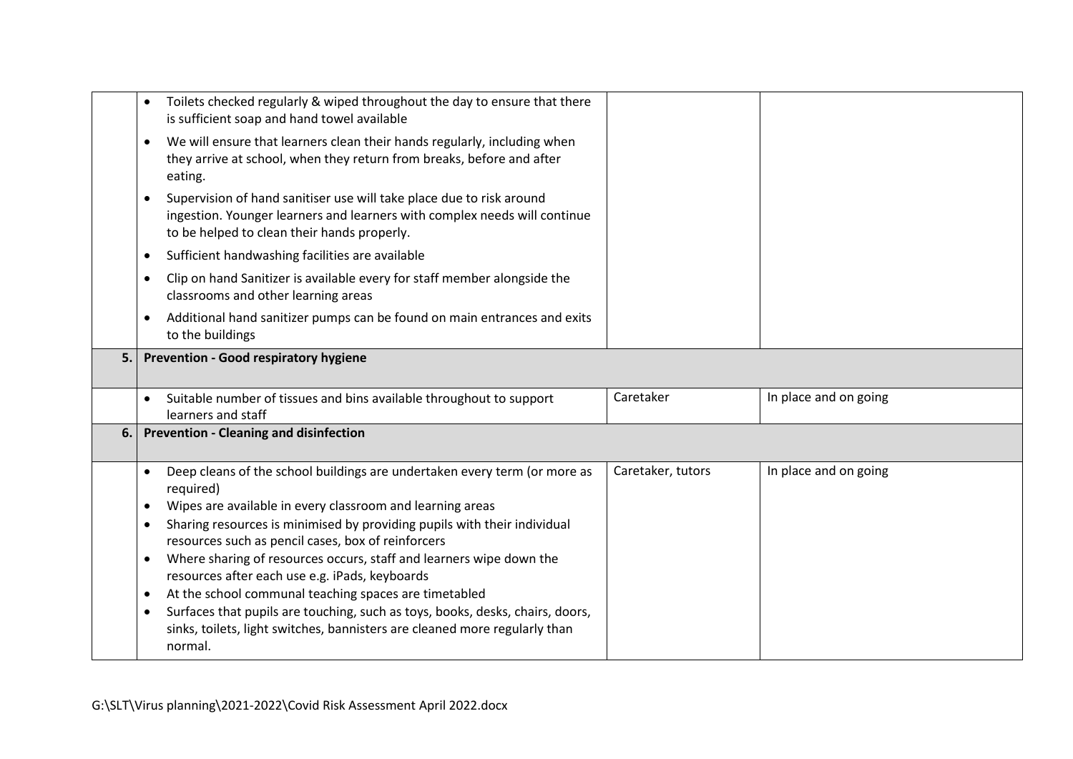|    |           | Toilets checked regularly & wiped throughout the day to ensure that there<br>is sufficient soap and hand towel available                                                                         |                   |                       |
|----|-----------|--------------------------------------------------------------------------------------------------------------------------------------------------------------------------------------------------|-------------------|-----------------------|
|    | $\bullet$ | We will ensure that learners clean their hands regularly, including when<br>they arrive at school, when they return from breaks, before and after<br>eating.                                     |                   |                       |
|    | $\bullet$ | Supervision of hand sanitiser use will take place due to risk around<br>ingestion. Younger learners and learners with complex needs will continue<br>to be helped to clean their hands properly. |                   |                       |
|    | $\bullet$ | Sufficient handwashing facilities are available                                                                                                                                                  |                   |                       |
|    | $\bullet$ | Clip on hand Sanitizer is available every for staff member alongside the<br>classrooms and other learning areas                                                                                  |                   |                       |
|    | $\bullet$ | Additional hand sanitizer pumps can be found on main entrances and exits<br>to the buildings                                                                                                     |                   |                       |
| 5. |           | <b>Prevention - Good respiratory hygiene</b>                                                                                                                                                     |                   |                       |
|    |           |                                                                                                                                                                                                  |                   |                       |
|    |           | Suitable number of tissues and bins available throughout to support<br>learners and staff                                                                                                        | Caretaker         | In place and on going |
| 6. |           | <b>Prevention - Cleaning and disinfection</b>                                                                                                                                                    |                   |                       |
|    | $\bullet$ | Deep cleans of the school buildings are undertaken every term (or more as<br>required)                                                                                                           | Caretaker, tutors | In place and on going |
|    | $\bullet$ | Wipes are available in every classroom and learning areas                                                                                                                                        |                   |                       |
|    | $\bullet$ | Sharing resources is minimised by providing pupils with their individual<br>resources such as pencil cases, box of reinforcers                                                                   |                   |                       |
|    | $\bullet$ | Where sharing of resources occurs, staff and learners wipe down the<br>resources after each use e.g. iPads, keyboards                                                                            |                   |                       |
|    | $\bullet$ | At the school communal teaching spaces are timetabled                                                                                                                                            |                   |                       |
|    | $\bullet$ | Surfaces that pupils are touching, such as toys, books, desks, chairs, doors,<br>sinks, toilets, light switches, bannisters are cleaned more regularly than<br>normal.                           |                   |                       |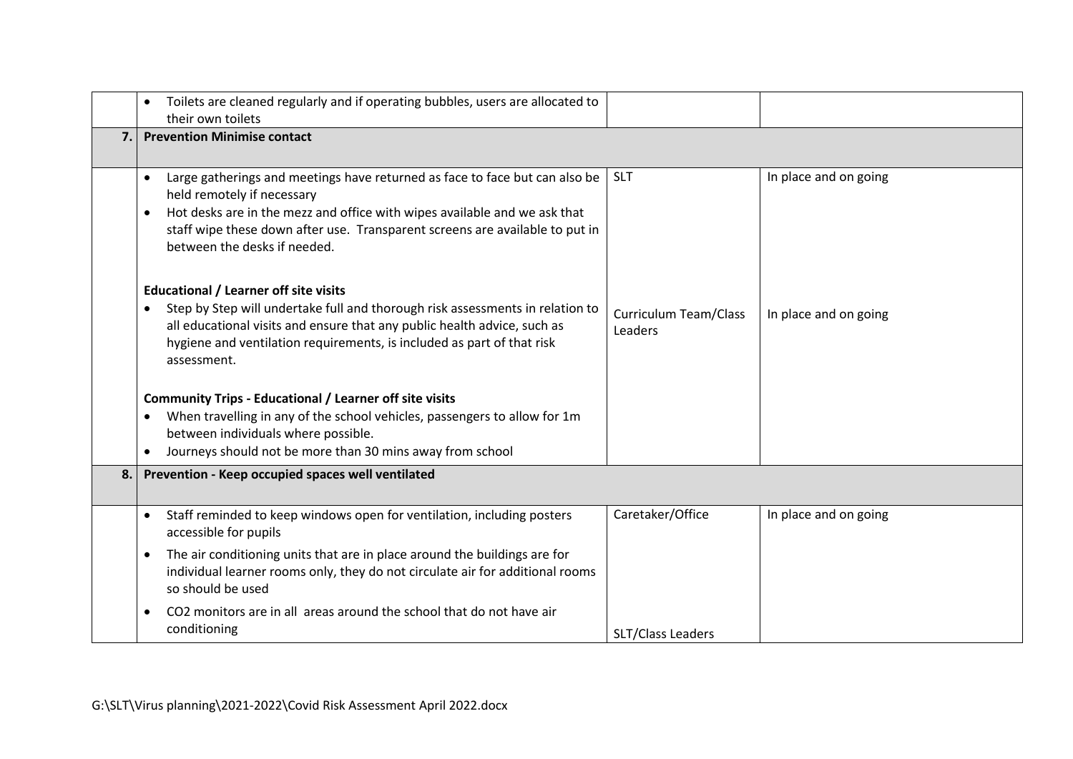<span id="page-5-0"></span>

|     | Toilets are cleaned regularly and if operating bubbles, users are allocated to<br>their own toilets                                                                                                                                                                                                                 |                                  |                       |
|-----|---------------------------------------------------------------------------------------------------------------------------------------------------------------------------------------------------------------------------------------------------------------------------------------------------------------------|----------------------------------|-----------------------|
| 7.1 | <b>Prevention Minimise contact</b>                                                                                                                                                                                                                                                                                  |                                  |                       |
|     | Large gatherings and meetings have returned as face to face but can also be<br>$\bullet$<br>held remotely if necessary<br>Hot desks are in the mezz and office with wipes available and we ask that<br>staff wipe these down after use. Transparent screens are available to put in<br>between the desks if needed. | <b>SLT</b>                       | In place and on going |
|     | <b>Educational / Learner off site visits</b><br>Step by Step will undertake full and thorough risk assessments in relation to<br>$\bullet$<br>all educational visits and ensure that any public health advice, such as<br>hygiene and ventilation requirements, is included as part of that risk<br>assessment.     | Curriculum Team/Class<br>Leaders | In place and on going |
|     | <b>Community Trips - Educational / Learner off site visits</b>                                                                                                                                                                                                                                                      |                                  |                       |
|     | When travelling in any of the school vehicles, passengers to allow for 1m<br>between individuals where possible.                                                                                                                                                                                                    |                                  |                       |
|     | Journeys should not be more than 30 mins away from school<br>$\bullet$                                                                                                                                                                                                                                              |                                  |                       |
| 8.1 | Prevention - Keep occupied spaces well ventilated                                                                                                                                                                                                                                                                   |                                  |                       |
|     | Staff reminded to keep windows open for ventilation, including posters<br>$\bullet$<br>accessible for pupils                                                                                                                                                                                                        | Caretaker/Office                 | In place and on going |
|     | The air conditioning units that are in place around the buildings are for<br>$\bullet$<br>individual learner rooms only, they do not circulate air for additional rooms<br>so should be used                                                                                                                        |                                  |                       |
|     | CO2 monitors are in all areas around the school that do not have air<br>$\bullet$<br>conditioning                                                                                                                                                                                                                   | SLT/Class Leaders                |                       |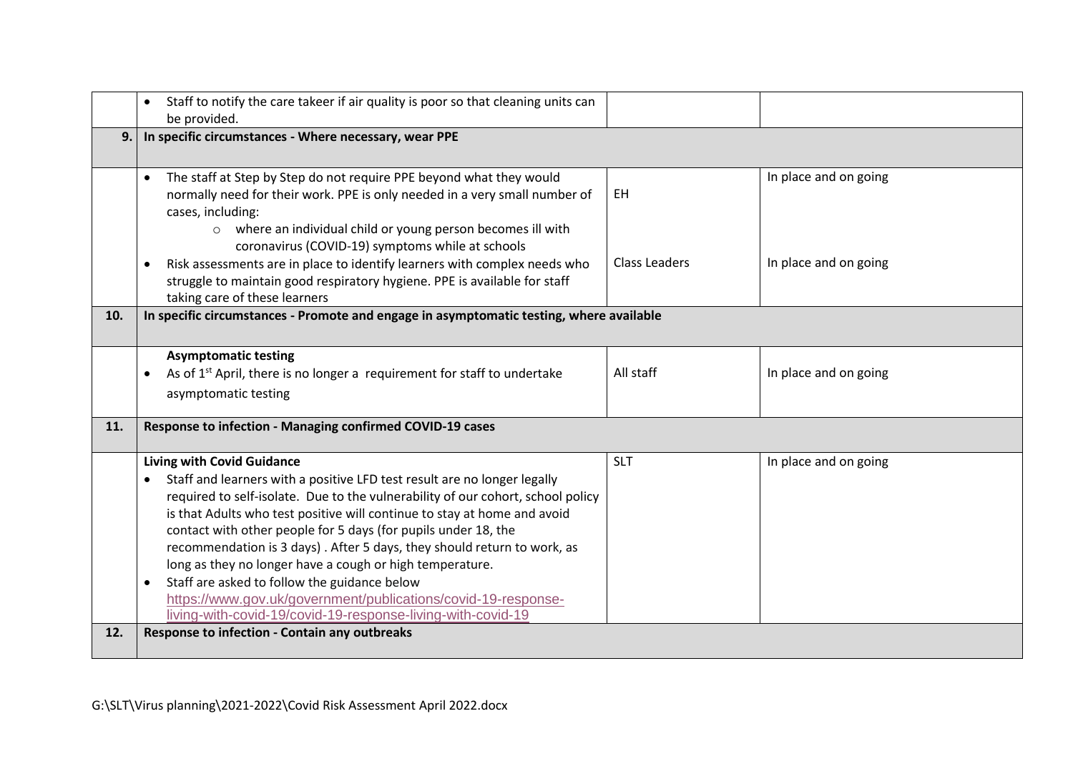<span id="page-6-0"></span>

|     | Staff to notify the care takeer if air quality is poor so that cleaning units can<br>be provided.                                                                                                                                                                                                                                                                                                                                                                                                                                                                                                                                                                                  |                            |                                                |  |  |
|-----|------------------------------------------------------------------------------------------------------------------------------------------------------------------------------------------------------------------------------------------------------------------------------------------------------------------------------------------------------------------------------------------------------------------------------------------------------------------------------------------------------------------------------------------------------------------------------------------------------------------------------------------------------------------------------------|----------------------------|------------------------------------------------|--|--|
| 9.1 | In specific circumstances - Where necessary, wear PPE                                                                                                                                                                                                                                                                                                                                                                                                                                                                                                                                                                                                                              |                            |                                                |  |  |
|     | The staff at Step by Step do not require PPE beyond what they would<br>$\bullet$<br>normally need for their work. PPE is only needed in a very small number of<br>cases, including:<br>o where an individual child or young person becomes ill with<br>coronavirus (COVID-19) symptoms while at schools<br>Risk assessments are in place to identify learners with complex needs who<br>$\bullet$<br>struggle to maintain good respiratory hygiene. PPE is available for staff                                                                                                                                                                                                     | EH<br><b>Class Leaders</b> | In place and on going<br>In place and on going |  |  |
|     | taking care of these learners                                                                                                                                                                                                                                                                                                                                                                                                                                                                                                                                                                                                                                                      |                            |                                                |  |  |
| 10. | In specific circumstances - Promote and engage in asymptomatic testing, where available                                                                                                                                                                                                                                                                                                                                                                                                                                                                                                                                                                                            |                            |                                                |  |  |
|     | <b>Asymptomatic testing</b><br>As of 1 <sup>st</sup> April, there is no longer a requirement for staff to undertake<br>asymptomatic testing                                                                                                                                                                                                                                                                                                                                                                                                                                                                                                                                        | All staff                  | In place and on going                          |  |  |
| 11. | Response to infection - Managing confirmed COVID-19 cases                                                                                                                                                                                                                                                                                                                                                                                                                                                                                                                                                                                                                          |                            |                                                |  |  |
|     | <b>Living with Covid Guidance</b><br>Staff and learners with a positive LFD test result are no longer legally<br>required to self-isolate. Due to the vulnerability of our cohort, school policy<br>is that Adults who test positive will continue to stay at home and avoid<br>contact with other people for 5 days (for pupils under 18, the<br>recommendation is 3 days). After 5 days, they should return to work, as<br>long as they no longer have a cough or high temperature.<br>Staff are asked to follow the guidance below<br>$\bullet$<br>https://www.gov.uk/government/publications/covid-19-response-<br>living-with-covid-19/covid-19-response-living-with-covid-19 | <b>SLT</b>                 | In place and on going                          |  |  |
| 12. | Response to infection - Contain any outbreaks                                                                                                                                                                                                                                                                                                                                                                                                                                                                                                                                                                                                                                      |                            |                                                |  |  |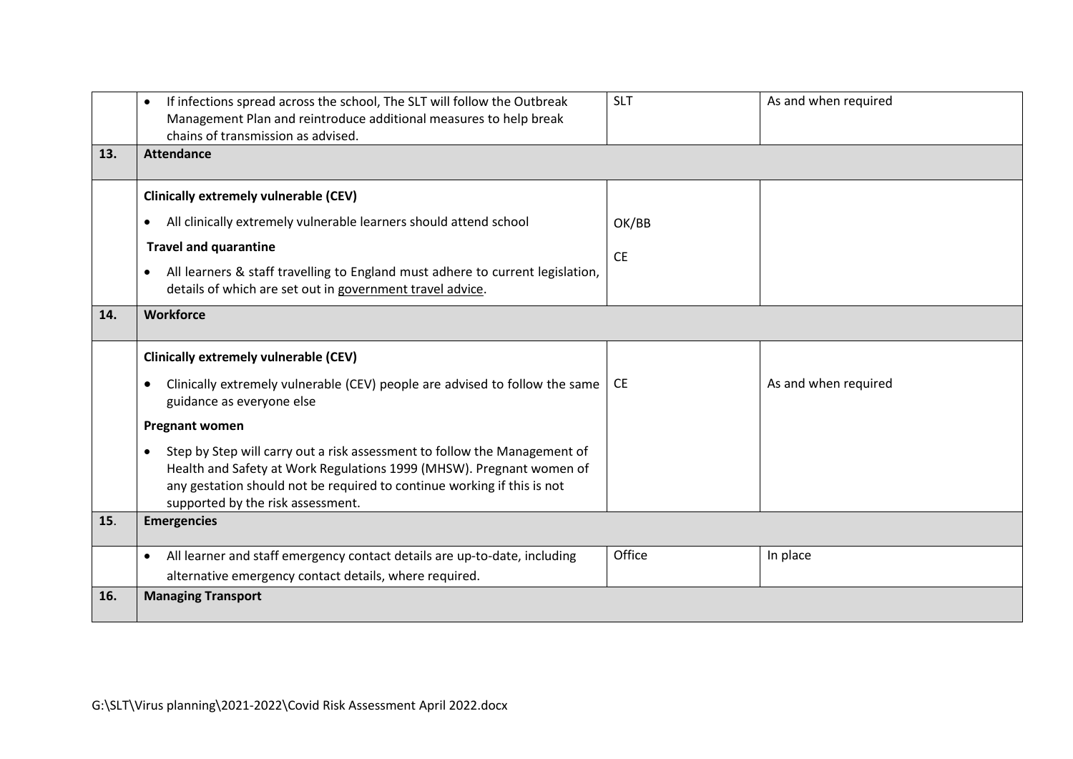<span id="page-7-0"></span>

|     | If infections spread across the school, The SLT will follow the Outbreak<br>Management Plan and reintroduce additional measures to help break<br>chains of transmission as advised.                                                                                            | <b>SLT</b> | As and when required |
|-----|--------------------------------------------------------------------------------------------------------------------------------------------------------------------------------------------------------------------------------------------------------------------------------|------------|----------------------|
| 13. | <b>Attendance</b>                                                                                                                                                                                                                                                              |            |                      |
|     | <b>Clinically extremely vulnerable (CEV)</b>                                                                                                                                                                                                                                   |            |                      |
|     | All clinically extremely vulnerable learners should attend school<br>$\bullet$                                                                                                                                                                                                 | OK/BB      |                      |
|     | <b>Travel and quarantine</b>                                                                                                                                                                                                                                                   | <b>CE</b>  |                      |
|     | All learners & staff travelling to England must adhere to current legislation,<br>details of which are set out in government travel advice.                                                                                                                                    |            |                      |
| 14. | <b>Workforce</b>                                                                                                                                                                                                                                                               |            |                      |
|     | <b>Clinically extremely vulnerable (CEV)</b>                                                                                                                                                                                                                                   |            |                      |
|     | Clinically extremely vulnerable (CEV) people are advised to follow the same<br>$\bullet$<br>guidance as everyone else                                                                                                                                                          | <b>CE</b>  | As and when required |
|     | <b>Pregnant women</b>                                                                                                                                                                                                                                                          |            |                      |
|     | Step by Step will carry out a risk assessment to follow the Management of<br>$\bullet$<br>Health and Safety at Work Regulations 1999 (MHSW). Pregnant women of<br>any gestation should not be required to continue working if this is not<br>supported by the risk assessment. |            |                      |
| 15. | <b>Emergencies</b>                                                                                                                                                                                                                                                             |            |                      |
|     | All learner and staff emergency contact details are up-to-date, including<br>$\bullet$                                                                                                                                                                                         | Office     | In place             |
|     | alternative emergency contact details, where required.                                                                                                                                                                                                                         |            |                      |
| 16. | <b>Managing Transport</b>                                                                                                                                                                                                                                                      |            |                      |